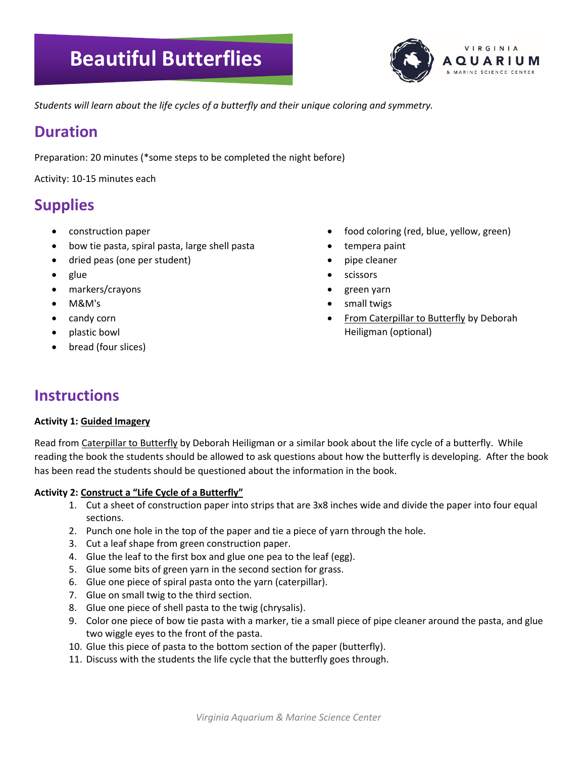# **Beautiful Butterflies**



*Students will learn about the life cycles of a butterfly and their unique coloring and symmetry.*

### **Duration**

Preparation: 20 minutes (\*some steps to be completed the night before)

Activity: 10-15 minutes each

# **Supplies**

- construction paper
- bow tie pasta, spiral pasta, large shell pasta
- dried peas (one per student)
- glue
- markers/crayons
- M&M's
- candy corn
- plastic bowl
- bread (four slices)
- food coloring (red, blue, yellow, green)
- tempera paint
- pipe cleaner
- scissors
- green yarn
- small twigs
- **From Caterpillar to Butterfly by Deborah** Heiligman (optional)

# **Instructions**

#### **Activity 1: Guided Imagery**

Read from Caterpillar to Butterfly by Deborah Heiligman or a similar book about the life cycle of a butterfly. While reading the book the students should be allowed to ask questions about how the butterfly is developing. After the book has been read the students should be questioned about the information in the book.

### **Activity 2: Construct a "Life Cycle of a Butterfly"**

- 1. Cut a sheet of construction paper into strips that are 3x8 inches wide and divide the paper into four equal sections.
- 2. Punch one hole in the top of the paper and tie a piece of yarn through the hole.
- 3. Cut a leaf shape from green construction paper.
- 4. Glue the leaf to the first box and glue one pea to the leaf (egg).
- 5. Glue some bits of green yarn in the second section for grass.
- 6. Glue one piece of spiral pasta onto the yarn (caterpillar).
- 7. Glue on small twig to the third section.
- 8. Glue one piece of shell pasta to the twig (chrysalis).
- 9. Color one piece of bow tie pasta with a marker, tie a small piece of pipe cleaner around the pasta, and glue two wiggle eyes to the front of the pasta.
- 10. Glue this piece of pasta to the bottom section of the paper (butterfly).
- 11. Discuss with the students the life cycle that the butterfly goes through.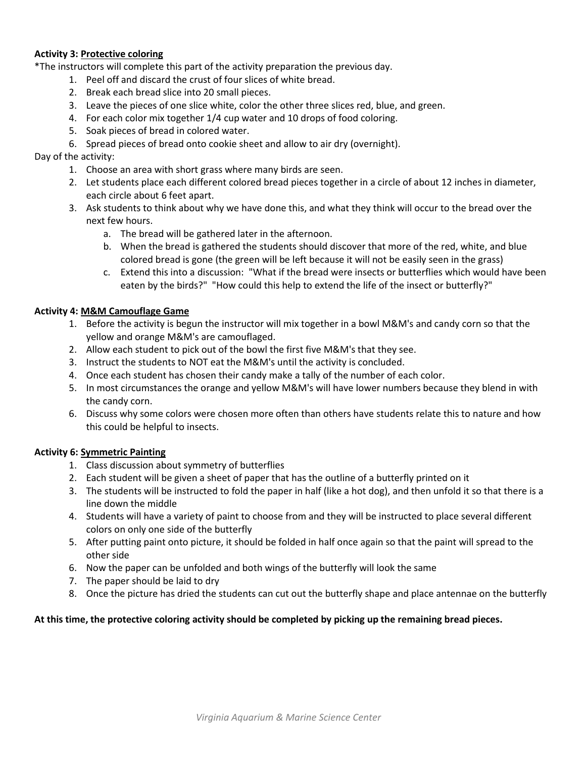#### **Activity 3: Protective coloring**

\*The instructors will complete this part of the activity preparation the previous day.

- 1. Peel off and discard the crust of four slices of white bread.
- 2. Break each bread slice into 20 small pieces.
- 3. Leave the pieces of one slice white, color the other three slices red, blue, and green.
- 4. For each color mix together 1/4 cup water and 10 drops of food coloring.
- 5. Soak pieces of bread in colored water.
- 6. Spread pieces of bread onto cookie sheet and allow to air dry (overnight).

#### Day of the activity:

- 1. Choose an area with short grass where many birds are seen.
- 2. Let students place each different colored bread pieces together in a circle of about 12 inches in diameter, each circle about 6 feet apart.
- 3. Ask students to think about why we have done this, and what they think will occur to the bread over the next few hours.
	- a. The bread will be gathered later in the afternoon.
	- b. When the bread is gathered the students should discover that more of the red, white, and blue colored bread is gone (the green will be left because it will not be easily seen in the grass)
	- c. Extend this into a discussion: "What if the bread were insects or butterflies which would have been eaten by the birds?" "How could this help to extend the life of the insect or butterfly?"

#### **Activity 4: M&M Camouflage Game**

- 1. Before the activity is begun the instructor will mix together in a bowl M&M's and candy corn so that the yellow and orange M&M's are camouflaged.
- 2. Allow each student to pick out of the bowl the first five M&M's that they see.
- 3. Instruct the students to NOT eat the M&M's until the activity is concluded.
- 4. Once each student has chosen their candy make a tally of the number of each color.
- 5. In most circumstances the orange and yellow M&M's will have lower numbers because they blend in with the candy corn.
- 6. Discuss why some colors were chosen more often than others have students relate this to nature and how this could be helpful to insects.

### **Activity 6: Symmetric Painting**

- 1. Class discussion about symmetry of butterflies
- 2. Each student will be given a sheet of paper that has the outline of a butterfly printed on it
- 3. The students will be instructed to fold the paper in half (like a hot dog), and then unfold it so that there is a line down the middle
- 4. Students will have a variety of paint to choose from and they will be instructed to place several different colors on only one side of the butterfly
- 5. After putting paint onto picture, it should be folded in half once again so that the paint will spread to the other side
- 6. Now the paper can be unfolded and both wings of the butterfly will look the same
- 7. The paper should be laid to dry
- 8. Once the picture has dried the students can cut out the butterfly shape and place antennae on the butterfly

#### **At this time, the protective coloring activity should be completed by picking up the remaining bread pieces.**